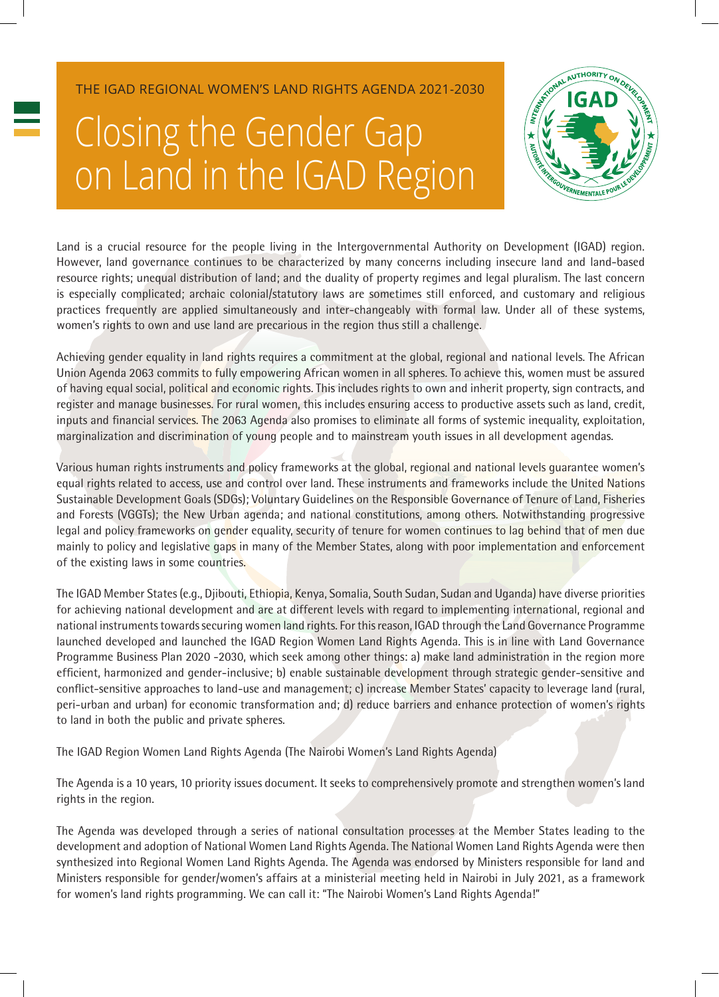THE IGAD REGIONAL WOMEN'S LAND RIGHTS AGENDA 2021-2030

## Closing the Gender Gap on Land in the IGAD Region



Land is a crucial resource for the people living in the Intergovernmental Authority on Development (IGAD) region. However, land governance continues to be characterized by many concerns including insecure land and land-based resource rights; unequal distribution of land; and the duality of property regimes and legal pluralism. The last concern is especially complicated; archaic colonial/statutory laws are sometimes still enforced, and customary and religious practices frequently are applied simultaneously and inter-changeably with formal law. Under all of these systems, women's rights to own and use land are precarious in the region thus still a challenge.

Achieving gender equality in land rights requires a commitment at the global, regional and national levels. The African Union Agenda 2063 commits to fully empowering African women in all spheres. To achieve this, women must be assured of having equal social, political and economic rights. This includes rights to own and inherit property, sign contracts, and register and manage businesses. For rural women, this includes ensuring access to productive assets such as land, credit, inputs and financial services. The 2063 Agenda also promises to eliminate all forms of systemic inequality, exploitation, marginalization and discrimination of young people and to mainstream youth issues in all development agendas.

Various human rights instruments and policy frameworks at the global, regional and national levels guarantee women's equal rights related to access, use and control over land. These instruments and frameworks include the United Nations Sustainable Development Goals (SDGs); Voluntary Guidelines on the Responsible Governance of Tenure of Land, Fisheries and Forests (VGGTs); the New Urban agenda; and national constitutions, among others. Notwithstanding progressive legal and policy frameworks on gender equality, security of tenure for women continues to lag behind that of men due mainly to policy and legislative gaps in many of the Member States, along with poor implementation and enforcement of the existing laws in some countries.

The IGAD Member States (e.g., Djibouti, Ethiopia, Kenya, Somalia, South Sudan, Sudan and Uganda) have diverse priorities for achieving national development and are at different levels with regard to implementing international, regional and national instruments towards securing women land rights. For this reason, IGAD through the Land Governance Programme launched developed and launched the IGAD Region Women Land Rights Agenda. This is in line with Land Governance Programme Business Plan 2020 -2030, which seek among other things: a) make land administration in the region more efficient, harmonized and gender-inclusive; b) enable sustainable development through strategic gender-sensitive and conflict-sensitive approaches to land-use and management; c) increase Member States' capacity to leverage land (rural, peri-urban and urban) for economic transformation and; d) reduce barriers and enhance protection of women's rights to land in both the public and private spheres.

The IGAD Region Women Land Rights Agenda (The Nairobi Women's Land Rights Agenda)

The Agenda is a 10 years, 10 priority issues document. It seeks to comprehensively promote and strengthen women's land rights in the region.

The Agenda was developed through a series of national consultation processes at the Member States leading to the development and adoption of National Women Land Rights Agenda. The National Women Land Rights Agenda were then synthesized into Regional Women Land Rights Agenda. The Agenda was endorsed by Ministers responsible for land and Ministers responsible for gender/women's affairs at a ministerial meeting held in Nairobi in July 2021, as a framework for women's land rights programming. We can call it: "The Nairobi Women's Land Rights Agenda!"